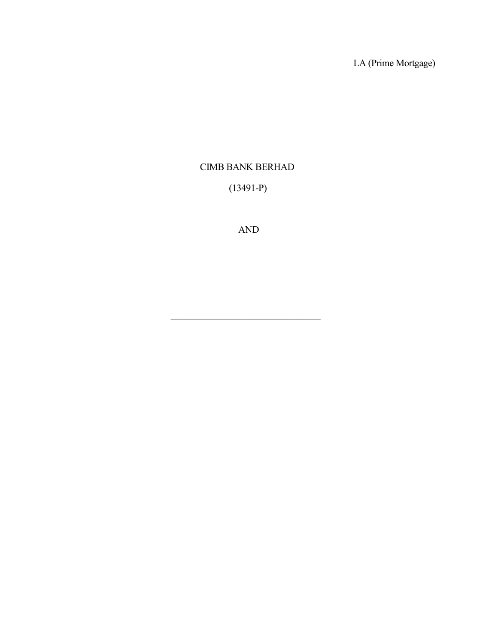LA (Prime Mortgage)

## CIMB BANK BERHAD

## (13491-P)

AND

\_\_\_\_\_\_\_\_\_\_\_\_\_\_\_\_\_\_\_\_\_\_\_\_\_\_\_\_\_\_\_\_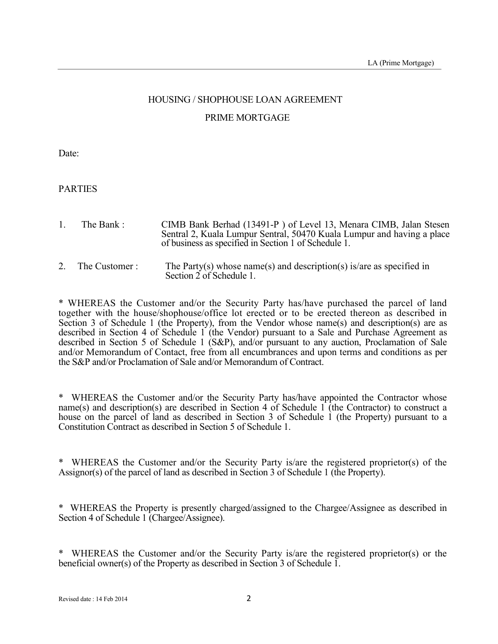# HOUSING / SHOPHOUSE LOAN AGREEMENT PRIME MORTGAGE

Date<sup>-</sup>

**PARTIES** 

- 1. The Bank : CIMB Bank Berhad (13491-P ) of Level 13, Menara CIMB, Jalan Stesen Sentral 2, Kuala Lumpur Sentral, 50470 Kuala Lumpur and having a place of business as specified in Section 1 of Schedule 1.
- 2. The Customer : The Party(s) whose name(s) and description(s) is/are as specified in Section 2 of Schedule 1.

\* WHEREAS the Customer and/or the Security Party has/have purchased the parcel of land together with the house/shophouse/office lot erected or to be erected thereon as described in Section 3 of Schedule 1 (the Property), from the Vendor whose name(s) and description(s) are as described in Section 4 of Schedule 1 (the Vendor) pursuant to a Sale and Purchase Agreement as described in Section 5 of Schedule 1 (S&P), and/or pursuant to any auction, Proclamation of Sale and/or Memorandum of Contact, free from all encumbrances and upon terms and conditions as per the S&P and/or Proclamation of Sale and/or Memorandum of Contract.

\* WHEREAS the Customer and/or the Security Party has/have appointed the Contractor whose name(s) and description(s) are described in Section 4 of Schedule 1 (the Contractor) to construct a house on the parcel of land as described in Section 3 of Schedule 1 (the Property) pursuant to a Constitution Contract as described in Section 5 of Schedule 1.

\* WHEREAS the Customer and/or the Security Party is/are the registered proprietor(s) of the Assignor(s) of the parcel of land as described in Section 3 of Schedule 1 (the Property).

\* WHEREAS the Property is presently charged/assigned to the Chargee/Assignee as described in Section 4 of Schedule 1 (Chargee/Assignee).

\* WHEREAS the Customer and/or the Security Party is/are the registered proprietor(s) or the beneficial owner(s) of the Property as described in Section 3 of Schedule 1.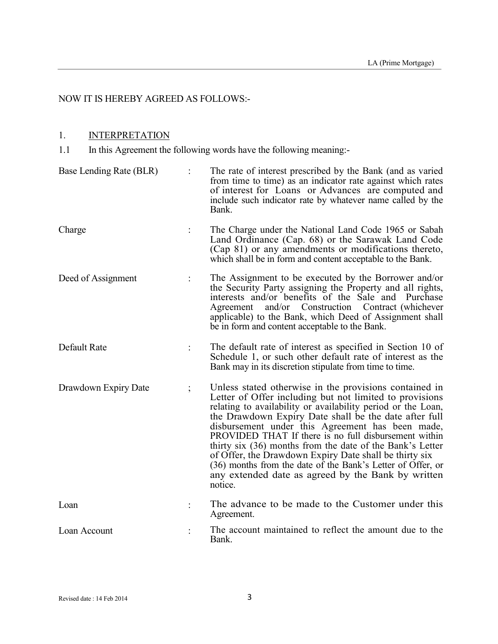## NOW IT IS HEREBY AGREED AS FOLLOWS:-

## 1. **INTERPRETATION**

1.1 In this Agreement the following words have the following meaning:-

| Base Lending Rate (BLR) | The rate of interest prescribed by the Bank (and as varied<br>from time to time) as an indicator rate against which rates<br>of interest for Loans or Advances are computed and<br>include such indicator rate by whatever name called by the<br>Bank.                                                                                                                                                                                                                                                                                                                                                         |
|-------------------------|----------------------------------------------------------------------------------------------------------------------------------------------------------------------------------------------------------------------------------------------------------------------------------------------------------------------------------------------------------------------------------------------------------------------------------------------------------------------------------------------------------------------------------------------------------------------------------------------------------------|
| Charge                  | The Charge under the National Land Code 1965 or Sabah<br>Land Ordinance (Cap. 68) or the Sarawak Land Code<br>(Cap 81) or any amendments or modifications thereto,<br>which shall be in form and content acceptable to the Bank.                                                                                                                                                                                                                                                                                                                                                                               |
| Deed of Assignment      | The Assignment to be executed by the Borrower and/or<br>the Security Party assigning the Property and all rights,<br>interests and/or benefits of the Sale and Purchase<br>and/or Construction Contract (whichever<br>Agreement<br>applicable) to the Bank, which Deed of Assignment shall<br>be in form and content acceptable to the Bank.                                                                                                                                                                                                                                                                   |
| Default Rate            | The default rate of interest as specified in Section 10 of<br>Schedule 1, or such other default rate of interest as the<br>Bank may in its discretion stipulate from time to time.                                                                                                                                                                                                                                                                                                                                                                                                                             |
| Drawdown Expiry Date    | Unless stated otherwise in the provisions contained in<br>Letter of Offer including but not limited to provisions<br>relating to availability or availability period or the Loan,<br>the Drawdown Expiry Date shall be the date after full<br>disbursement under this Agreement has been made,<br>PROVIDED THAT If there is no full disbursement within<br>thirty six (36) months from the date of the Bank's Letter<br>of Offer, the Drawdown Expiry Date shall be thirty six<br>(36) months from the date of the Bank's Letter of Offer, or<br>any extended date as agreed by the Bank by written<br>notice. |
| Loan                    | The advance to be made to the Customer under this<br>Agreement.                                                                                                                                                                                                                                                                                                                                                                                                                                                                                                                                                |
| Loan Account            | The account maintained to reflect the amount due to the<br>Bank.                                                                                                                                                                                                                                                                                                                                                                                                                                                                                                                                               |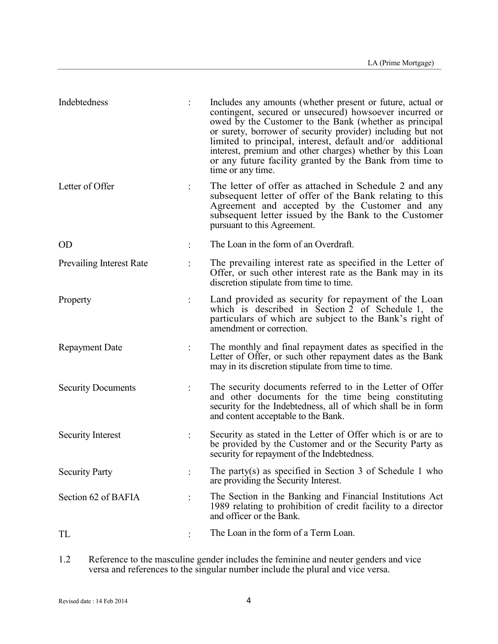| Indebtedness                    | Includes any amounts (whether present or future, actual or<br>contingent, secured or unsecured) howsoever incurred or<br>owed by the Customer to the Bank (whether as principal<br>or surety, borrower of security provider) including but not<br>limited to principal, interest, default and/or additional<br>interest, premium and other charges) whether by this Loan<br>or any future facility granted by the Bank from time to<br>time or any time. |
|---------------------------------|----------------------------------------------------------------------------------------------------------------------------------------------------------------------------------------------------------------------------------------------------------------------------------------------------------------------------------------------------------------------------------------------------------------------------------------------------------|
| Letter of Offer                 | The letter of offer as attached in Schedule 2 and any<br>subsequent letter of offer of the Bank relating to this<br>Agreement and accepted by the Customer and any<br>subsequent letter issued by the Bank to the Customer<br>pursuant to this Agreement.                                                                                                                                                                                                |
| <b>OD</b>                       | The Loan in the form of an Overdraft.                                                                                                                                                                                                                                                                                                                                                                                                                    |
| <b>Prevailing Interest Rate</b> | The prevailing interest rate as specified in the Letter of<br>Offer, or such other interest rate as the Bank may in its<br>discretion stipulate from time to time.                                                                                                                                                                                                                                                                                       |
| Property                        | Land provided as security for repayment of the Loan<br>which is described in Section $2$ of Schedule 1, the<br>particulars of which are subject to the Bank's right of<br>amendment or correction.                                                                                                                                                                                                                                                       |
| <b>Repayment Date</b>           | The monthly and final repayment dates as specified in the<br>Letter of Offer, or such other repayment dates as the Bank<br>may in its discretion stipulate from time to time.                                                                                                                                                                                                                                                                            |
| <b>Security Documents</b>       | The security documents referred to in the Letter of Offer<br>and other documents for the time being constituting<br>security for the Indebtedness, all of which shall be in form<br>and content acceptable to the Bank.                                                                                                                                                                                                                                  |
| Security Interest               | Security as stated in the Letter of Offer which is or are to<br>be provided by the Customer and or the Security Party as<br>security for repayment of the Indebtedness.                                                                                                                                                                                                                                                                                  |
| <b>Security Party</b>           | The party(s) as specified in Section 3 of Schedule 1 who<br>are providing the Security Interest.                                                                                                                                                                                                                                                                                                                                                         |
| Section 62 of BAFIA             | The Section in the Banking and Financial Institutions Act<br>1989 relating to prohibition of credit facility to a director<br>and officer or the Bank.                                                                                                                                                                                                                                                                                                   |
| TL                              | The Loan in the form of a Term Loan.                                                                                                                                                                                                                                                                                                                                                                                                                     |

1.2 Reference to the masculine gender includes the feminine and neuter genders and vice versa and references to the singular number include the plural and vice versa.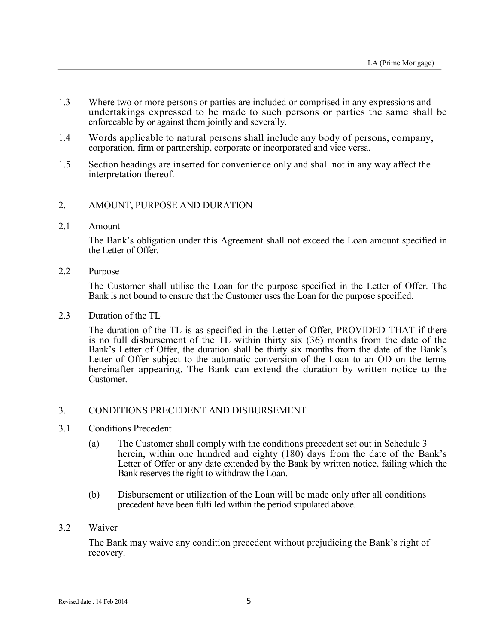- 1.3 Where two or more persons or parties are included or comprised in any expressions and undertakings expressed to be made to such persons or parties the same shall be enforceable by or against them jointly and severally.
- 1.4 Words applicable to natural persons shall include any body of persons, company, corporation, firm or partnership, corporate or incorporated and vice versa.
- 1.5 Section headings are inserted for convenience only and shall not in any way affect the interpretation thereof.

### 2. AMOUNT, PURPOSE AND DURATION

2.1 Amount

The Bank's obligation under this Agreement shall not exceed the Loan amount specified in the Letter of Offer.

2.2 Purpose

The Customer shall utilise the Loan for the purpose specified in the Letter of Offer. The Bank is not bound to ensure that the Customer uses the Loan for the purpose specified.

2.3 Duration of the TL

The duration of the TL is as specified in the Letter of Offer, PROVIDED THAT if there is no full disbursement of the TL within thirty six (36) months from the date of the Bank's Letter of Offer, the duration shall be thirty six months from the date of the Bank's Letter of Offer subject to the automatic conversion of the Loan to an OD on the terms hereinafter appearing. The Bank can extend the duration by written notice to the Customer.

#### 3. CONDITIONS PRECEDENT AND DISBURSEMENT

- 3.1 Conditions Precedent
	- (a) The Customer shall comply with the conditions precedent set out in Schedule 3 herein, within one hundred and eighty (180) days from the date of the Bank's Letter of Offer or any date extended by the Bank by written notice, failing which the Bank reserves the right to withdraw the Loan.
	- (b) Disbursement or utilization of the Loan will be made only after all conditions precedent have been fulfilled within the period stipulated above.
- 3.2 Waiver

The Bank may waive any condition precedent without prejudicing the Bank's right of recovery.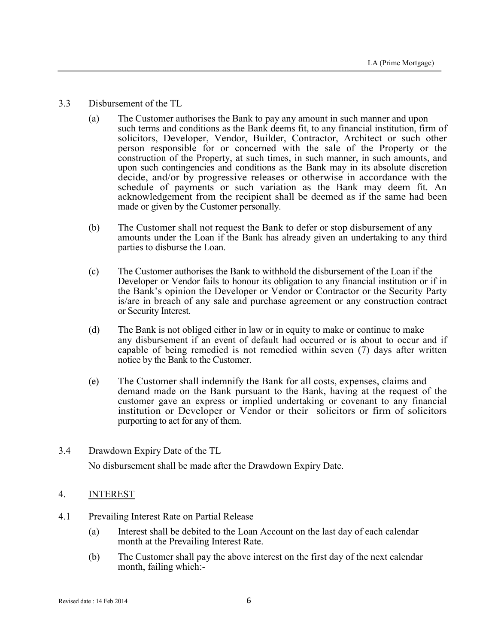- 3.3 Disbursement of the TL
	- (a) The Customer authorises the Bank to pay any amount in such manner and upon such terms and conditions as the Bank deems fit, to any financial institution, firm of solicitors, Developer, Vendor, Builder, Contractor, Architect or such other person responsible for or concerned with the sale of the Property or the construction of the Property, at such times, in such manner, in such amounts, and upon such contingencies and conditions as the Bank may in its absolute discretion decide, and/or by progressive releases or otherwise in accordance with the schedule of payments or such variation as the Bank may deem fit. An acknowledgement from the recipient shall be deemed as if the same had been made or given by the Customer personally.
	- (b) The Customer shall not request the Bank to defer or stop disbursement of any amounts under the Loan if the Bank has already given an undertaking to any third parties to disburse the Loan.
	- (c) The Customer authorises the Bank to withhold the disbursement of the Loan if the Developer or Vendor fails to honour its obligation to any financial institution or if in the Bank's opinion the Developer or Vendor or Contractor or the Security Party is/are in breach of any sale and purchase agreement or any construction contract or Security Interest.
	- (d) The Bank is not obliged either in law or in equity to make or continue to make any disbursement if an event of default had occurred or is about to occur and if capable of being remedied is not remedied within seven (7) days after written notice by the Bank to the Customer.
	- (e) The Customer shall indemnify the Bank for all costs, expenses, claims and demand made on the Bank pursuant to the Bank, having at the request of the customer gave an express or implied undertaking or covenant to any financial institution or Developer or Vendor or their solicitors or firm of solicitors purporting to act for any of them.
- 3.4 Drawdown Expiry Date of the TL No disbursement shall be made after the Drawdown Expiry Date.
- 4. INTEREST
- 4.1 Prevailing Interest Rate on Partial Release
	- (a) Interest shall be debited to the Loan Account on the last day of each calendar month at the Prevailing Interest Rate.
	- (b) The Customer shall pay the above interest on the first day of the next calendar month, failing which:-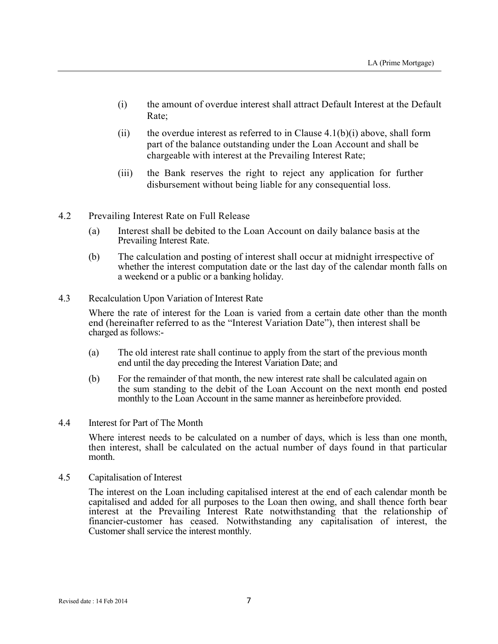- (i) the amount of overdue interest shall attract Default Interest at the Default Rate;
- (ii) the overdue interest as referred to in Clause  $4.1(b)(i)$  above, shall form part of the balance outstanding under the Loan Account and shall be chargeable with interest at the Prevailing Interest Rate;
- (iii) the Bank reserves the right to reject any application for further disbursement without being liable for any consequential loss.
- 4.2 Prevailing Interest Rate on Full Release
	- (a) Interest shall be debited to the Loan Account on daily balance basis at the Prevailing Interest Rate.
	- (b) The calculation and posting of interest shall occur at midnight irrespective of whether the interest computation date or the last day of the calendar month falls on a weekend or a public or a banking holiday.
- 4.3 Recalculation Upon Variation of Interest Rate

Where the rate of interest for the Loan is varied from a certain date other than the month end (hereinafter referred to as the "Interest Variation Date"), then interest shall be charged as follows:-

- (a) The old interest rate shall continue to apply from the start of the previous month end until the day preceding the Interest Variation Date; and
- (b) For the remainder of that month, the new interest rate shall be calculated again on the sum standing to the debit of the Loan Account on the next month end posted monthly to the Loan Account in the same manner as hereinbefore provided.
- 4.4 Interest for Part of The Month

Where interest needs to be calculated on a number of days, which is less than one month, then interest, shall be calculated on the actual number of days found in that particular month.

4.5 Capitalisation of Interest

The interest on the Loan including capitalised interest at the end of each calendar month be capitalised and added for all purposes to the Loan then owing, and shall thence forth bear interest at the Prevailing Interest Rate notwithstanding that the relationship of financier-customer has ceased. Notwithstanding any capitalisation of interest, the Customer shall service the interest monthly.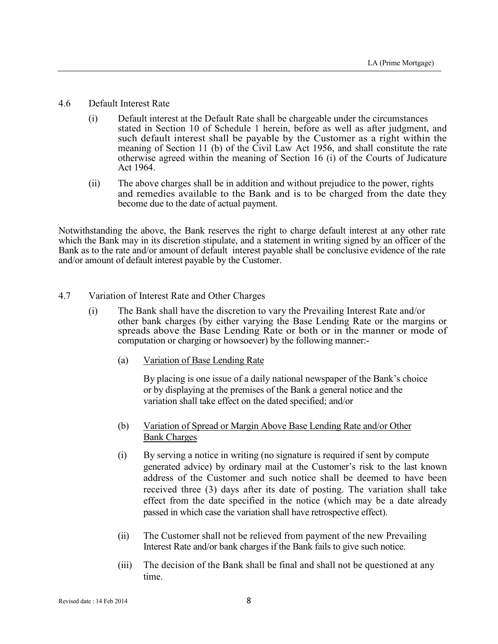- 4.6 Default Interest Rate
	- (i) Default interest at the Default Rate shall be chargeable under the circumstances stated in Section 10 of Schedule 1 herein, before as well as after judgment, and such default interest shall be payable by the Customer as a right within the meaning of Section 11 (b) of the Civil Law Act 1956, and shall constitute the rate otherwise agreed within the meaning of Section 16 (i) of the Courts of Judicature Act 1964.
	- (ii) The above charges shall be in addition and without prejudice to the power, rights and remedies available to the Bank and is to be charged from the date they become due to the date of actual payment.

Notwithstanding the above, the Bank reserves the right to charge default interest at any other rate which the Bank may in its discretion stipulate, and a statement in writing signed by an officer of the Bank as to the rate and/or amount of default interest payable shall be conclusive evidence of the rate and/or amount of default interest payable by the Customer.

- 4.7 Variation of Interest Rate and Other Charges
	- (i) The Bank shall have the discretion to vary the Prevailing Interest Rate and/or other bank charges (by either varying the Base Lending Rate or the margins or spreads above the Base Lending Rate or both or in the manner or mode of computation or charging or howsoever) by the following manner:-
		- (a) Variation of Base Lending Rate

By placing is one issue of a daily national newspaper of the Bank's choice or by displaying at the premises of the Bank a general notice and the variation shall take effect on the dated specified; and/or

- (b) Variation of Spread or Margin Above Base Lending Rate and/or Other Bank Charges
- (i) By serving a notice in writing (no signature is required if sent by compute generated advice) by ordinary mail at the Customer's risk to the last known address of the Customer and such notice shall be deemed to have been received three (3) days after its date of posting. The variation shall take effect from the date specified in the notice (which may be a date already passed in which case the variation shall have retrospective effect).
- (ii) The Customer shall not be relieved from payment of the new Prevailing Interest Rate and/or bank charges if the Bank fails to give such notice.
- (iii) The decision of the Bank shall be final and shall not be questioned at any time.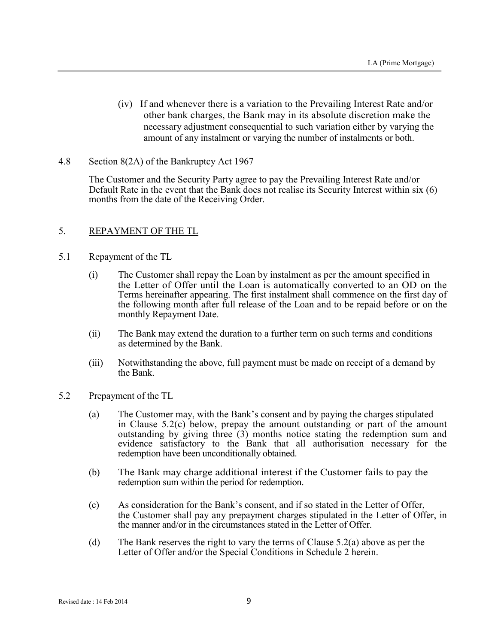- (iv) If and whenever there is a variation to the Prevailing Interest Rate and/or other bank charges, the Bank may in its absolute discretion make the necessary adjustment consequential to such variation either by varying the amount of any instalment or varying the number of instalments or both.
- 4.8 Section 8(2A) of the Bankruptcy Act 1967

The Customer and the Security Party agree to pay the Prevailing Interest Rate and/or Default Rate in the event that the Bank does not realise its Security Interest within six (6) months from the date of the Receiving Order.

### 5. REPAYMENT OF THE TL

- 5.1 Repayment of the TL
	- (i) The Customer shall repay the Loan by instalment as per the amount specified in the Letter of Offer until the Loan is automatically converted to an OD on the Terms hereinafter appearing. The first instalment shall commence on the first day of the following month after full release of the Loan and to be repaid before or on the monthly Repayment Date.
	- (ii) The Bank may extend the duration to a further term on such terms and conditions as determined by the Bank.
	- (iii) Notwithstanding the above, full payment must be made on receipt of a demand by the Bank.
- 5.2 Prepayment of the TL
	- (a) The Customer may, with the Bank's consent and by paying the charges stipulated in Clause 5.2(c) below, prepay the amount outstanding or part of the amount outstanding by giving three  $(3)$  months notice stating the redemption sum and evidence satisfactory to the Bank that all authorisation necessary for the redemption have been unconditionally obtained.
	- (b) The Bank may charge additional interest if the Customer fails to pay the redemption sum within the period for redemption.
	- (c) As consideration for the Bank's consent, and if so stated in the Letter of Offer, the Customer shall pay any prepayment charges stipulated in the Letter of Offer, in the manner and/or in the circumstances stated in the Letter of Offer.
	- (d) The Bank reserves the right to vary the terms of Clause 5.2(a) above as per the Letter of Offer and/or the Special Conditions in Schedule 2 herein.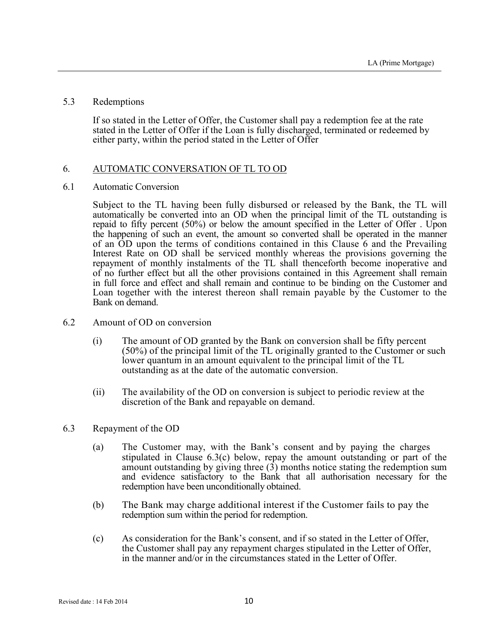#### 5.3 Redemptions

If so stated in the Letter of Offer, the Customer shall pay a redemption fee at the rate stated in the Letter of Offer if the Loan is fully discharged, terminated or redeemed by either party, within the period stated in the Letter of Offer

### 6. AUTOMATIC CONVERSATION OF TL TO OD

#### 6.1 Automatic Conversion

Subject to the TL having been fully disbursed or released by the Bank, the TL will automatically be converted into an OD when the principal limit of the TL outstanding is repaid to fifty percent (50%) or below the amount specified in the Letter of Offer . Upon the happening of such an event, the amount so converted shall be operated in the manner of an OD upon the terms of conditions contained in this Clause 6 and the Prevailing Interest Rate on OD shall be serviced monthly whereas the provisions governing the repayment of monthly instalments of the TL shall thenceforth become inoperative and of no further effect but all the other provisions contained in this Agreement shall remain in full force and effect and shall remain and continue to be binding on the Customer and Loan together with the interest thereon shall remain payable by the Customer to the Bank on demand.

- 6.2 Amount of OD on conversion
	- (i) The amount of OD granted by the Bank on conversion shall be fifty percent (50%) of the principal limit of the TL originally granted to the Customer or such lower quantum in an amount equivalent to the principal limit of the TL outstanding as at the date of the automatic conversion.
	- (ii) The availability of the OD on conversion is subject to periodic review at the discretion of the Bank and repayable on demand.
- 6.3 Repayment of the OD
	- (a) The Customer may, with the Bank's consent and by paying the charges stipulated in Clause 6.3(c) below, repay the amount outstanding or part of the amount outstanding by giving three  $(3)$  months notice stating the redemption sum and evidence satisfactory to the Bank that all authorisation necessary for the redemption have been unconditionally obtained.
	- (b) The Bank may charge additional interest if the Customer fails to pay the redemption sum within the period for redemption.
	- (c) As consideration for the Bank's consent, and if so stated in the Letter of Offer, the Customer shall pay any repayment charges stipulated in the Letter of Offer, in the manner and/or in the circumstances stated in the Letter of Offer.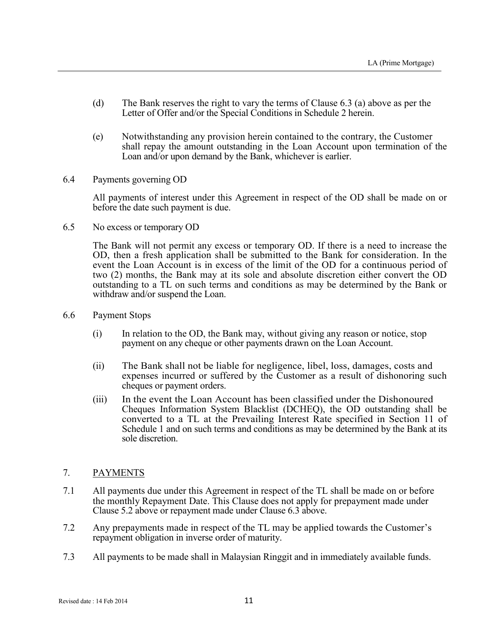- (d) The Bank reserves the right to vary the terms of Clause 6.3 (a) above as per the Letter of Offer and/or the Special Conditions in Schedule 2 herein.
- (e) Notwithstanding any provision herein contained to the contrary, the Customer shall repay the amount outstanding in the Loan Account upon termination of the Loan and/or upon demand by the Bank, whichever is earlier.
- 6.4 Payments governing OD

All payments of interest under this Agreement in respect of the OD shall be made on or before the date such payment is due.

6.5 No excess or temporary OD

The Bank will not permit any excess or temporary OD. If there is a need to increase the OD, then a fresh application shall be submitted to the Bank for consideration. In the event the Loan Account is in excess of the limit of the OD for a continuous period of two (2) months, the Bank may at its sole and absolute discretion either convert the OD outstanding to a TL on such terms and conditions as may be determined by the Bank or withdraw and/or suspend the Loan.

- 6.6 Payment Stops
	- (i) In relation to the OD, the Bank may, without giving any reason or notice, stop payment on any cheque or other payments drawn on the Loan Account.
	- (ii) The Bank shall not be liable for negligence, libel, loss, damages, costs and expenses incurred or suffered by the Customer as a result of dishonoring such cheques or payment orders.
	- (iii) In the event the Loan Account has been classified under the Dishonoured Cheques Information System Blacklist (DCHEQ), the OD outstanding shall be converted to a TL at the Prevailing Interest Rate specified in Section 11 of Schedule 1 and on such terms and conditions as may be determined by the Bank at its sole discretion.

#### 7. PAYMENTS

- 7.1 All payments due under this Agreement in respect of the TL shall be made on or before the monthly Repayment Date. This Clause does not apply for prepayment made under Clause 5.2 above or repayment made under Clause 6.3 above.
- 7.2 Any prepayments made in respect of the TL may be applied towards the Customer's repayment obligation in inverse order of maturity.
- 7.3 All payments to be made shall in Malaysian Ringgit and in immediately available funds.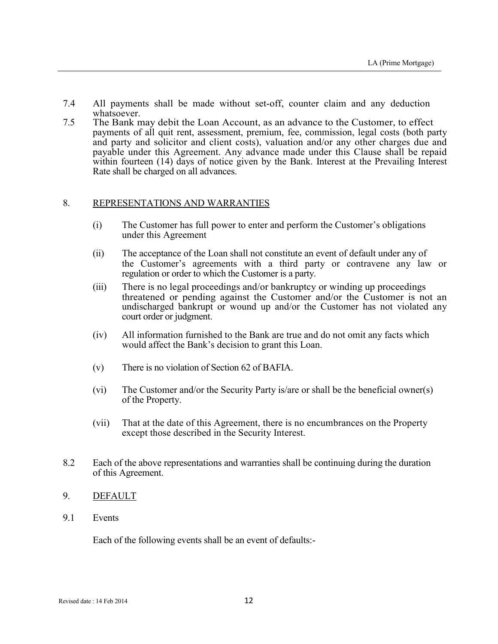- 7.4 All payments shall be made without set-off, counter claim and any deduction whatsoever.
- 7.5 The Bank may debit the Loan Account, as an advance to the Customer, to effect payments of all quit rent, assessment, premium, fee, commission, legal costs (both party and party and solicitor and client costs), valuation and/or any other charges due and payable under this Agreement. Any advance made under this Clause shall be repaid within fourteen (14) days of notice given by the Bank. Interest at the Prevailing Interest Rate shall be charged on all advances.

### 8. REPRESENTATIONS AND WARRANTIES

- (i) The Customer has full power to enter and perform the Customer's obligations under this Agreement
- (ii) The acceptance of the Loan shall not constitute an event of default under any of the Customer's agreements with a third party or contravene any law or regulation or order to which the Customer is a party.
- (iii) There is no legal proceedings and/or bankruptcy or winding up proceedings threatened or pending against the Customer and/or the Customer is not an undischarged bankrupt or wound up and/or the Customer has not violated any court order or judgment.
- (iv) All information furnished to the Bank are true and do not omit any facts which would affect the Bank's decision to grant this Loan.
- (v) There is no violation of Section 62 of BAFIA.
- (vi) The Customer and/or the Security Party is/are or shall be the beneficial owner(s) of the Property.
- (vii) That at the date of this Agreement, there is no encumbrances on the Property except those described in the Security Interest.
- 8.2 Each of the above representations and warranties shall be continuing during the duration of this Agreement.
- 9. DEFAULT
- 9.1 Events

Each of the following events shall be an event of defaults:-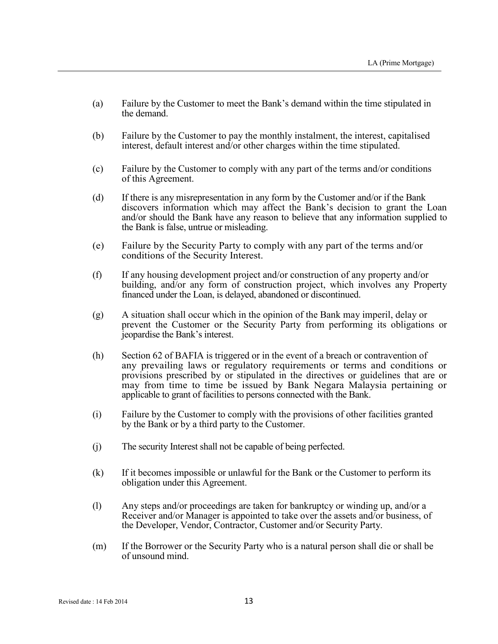- (a) Failure by the Customer to meet the Bank's demand within the time stipulated in the demand.
- (b) Failure by the Customer to pay the monthly instalment, the interest, capitalised interest, default interest and/or other charges within the time stipulated.
- (c) Failure by the Customer to comply with any part of the terms and/or conditions of this Agreement.
- (d) If there is any misrepresentation in any form by the Customer and/or if the Bank discovers information which may affect the Bank's decision to grant the Loan and/or should the Bank have any reason to believe that any information supplied to the Bank is false, untrue or misleading.
- (e) Failure by the Security Party to comply with any part of the terms and/or conditions of the Security Interest.
- (f) If any housing development project and/or construction of any property and/or building, and/or any form of construction project, which involves any Property financed under the Loan, is delayed, abandoned or discontinued.
- (g) A situation shall occur which in the opinion of the Bank may imperil, delay or prevent the Customer or the Security Party from performing its obligations or jeopardise the Bank's interest.
- (h) Section 62 of BAFIA is triggered or in the event of a breach or contravention of any prevailing laws or regulatory requirements or terms and conditions or provisions prescribed by or stipulated in the directives or guidelines that are or may from time to time be issued by Bank Negara Malaysia pertaining or applicable to grant of facilities to persons connected with the Bank.
- (i) Failure by the Customer to comply with the provisions of other facilities granted by the Bank or by a third party to the Customer.
- (j) The security Interest shall not be capable of being perfected.
- (k) If it becomes impossible or unlawful for the Bank or the Customer to perform its obligation under this Agreement.
- (l) Any steps and/or proceedings are taken for bankruptcy or winding up, and/or a Receiver and/or Manager is appointed to take over the assets and/or business, of the Developer, Vendor, Contractor, Customer and/or Security Party.
- (m) If the Borrower or the Security Party who is a natural person shall die or shall be of unsound mind.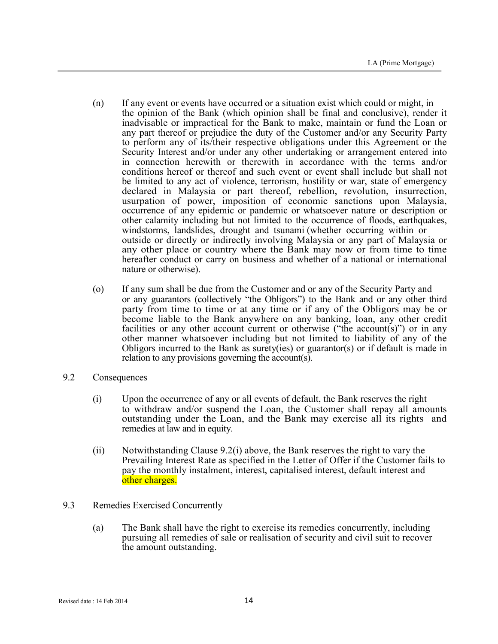- (n) If any event or events have occurred or a situation exist which could or might, in the opinion of the Bank (which opinion shall be final and conclusive), render it inadvisable or impractical for the Bank to make, maintain or fund the Loan or any part thereof or prejudice the duty of the Customer and/or any Security Party to perform any of its/their respective obligations under this Agreement or the Security Interest and/or under any other undertaking or arrangement entered into in connection herewith or therewith in accordance with the terms and/or conditions hereof or thereof and such event or event shall include but shall not be limited to any act of violence, terrorism, hostility or war, state of emergency declared in Malaysia or part thereof, rebellion, revolution, insurrection, usurpation of power, imposition of economic sanctions upon Malaysia, occurrence of any epidemic or pandemic or whatsoever nature or description or other calamity including but not limited to the occurrence of floods, earthquakes, windstorms, landslides, drought and tsunami (whether occurring within or outside or directly or indirectly involving Malaysia or any part of Malaysia or any other place or country where the Bank may now or from time to time hereafter conduct or carry on business and whether of a national or international nature or otherwise).
- (o) If any sum shall be due from the Customer and or any of the Security Party and or any guarantors (collectively "the Obligors") to the Bank and or any other third party from time to time or at any time or if any of the Obligors may be or become liable to the Bank anywhere on any banking, loan, any other credit facilities or any other account current or otherwise ("the account(s)") or in any other manner whatsoever including but not limited to liability of any of the Obligors incurred to the Bank as surety(ies) or guarantor(s) or if default is made in relation to any provisions governing the account(s).
- 9.2 Consequences
	- (i) Upon the occurrence of any or all events of default, the Bank reserves the right to withdraw and/or suspend the Loan, the Customer shall repay all amounts outstanding under the Loan, and the Bank may exercise all its rights and remedies at law and in equity.
	- (ii) Notwithstanding Clause 9.2(i) above, the Bank reserves the right to vary the Prevailing Interest Rate as specified in the Letter of Offer if the Customer fails to pay the monthly instalment, interest, capitalised interest, default interest and other charges.
- 9.3 Remedies Exercised Concurrently
	- (a) The Bank shall have the right to exercise its remedies concurrently, including pursuing all remedies of sale or realisation of security and civil suit to recover the amount outstanding.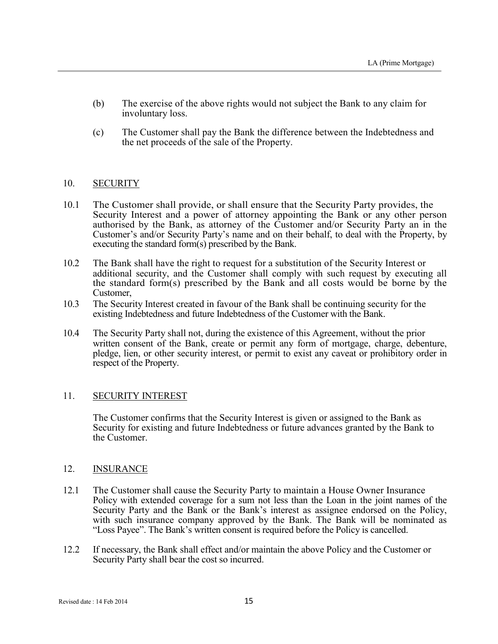- (b) The exercise of the above rights would not subject the Bank to any claim for involuntary loss.
- (c) The Customer shall pay the Bank the difference between the Indebtedness and the net proceeds of the sale of the Property.

### 10. SECURITY

- 10.1 The Customer shall provide, or shall ensure that the Security Party provides, the Security Interest and a power of attorney appointing the Bank or any other person authorised by the Bank, as attorney of the Customer and/or Security Party an in the Customer's and/or Security Party's name and on their behalf, to deal with the Property, by executing the standard form(s) prescribed by the Bank.
- 10.2 The Bank shall have the right to request for a substitution of the Security Interest or additional security, and the Customer shall comply with such request by executing all the standard form(s) prescribed by the Bank and all costs would be borne by the Customer,
- 10.3 The Security Interest created in favour of the Bank shall be continuing security for the existing Indebtedness and future Indebtedness of the Customer with the Bank.
- 10.4 The Security Party shall not, during the existence of this Agreement, without the prior written consent of the Bank, create or permit any form of mortgage, charge, debenture, pledge, lien, or other security interest, or permit to exist any caveat or prohibitory order in respect of the Property.

#### 11. SECURITY INTEREST

The Customer confirms that the Security Interest is given or assigned to the Bank as Security for existing and future Indebtedness or future advances granted by the Bank to the Customer.

#### 12. INSURANCE

- 12.1 The Customer shall cause the Security Party to maintain a House Owner Insurance Policy with extended coverage for a sum not less than the Loan in the joint names of the Security Party and the Bank or the Bank's interest as assignee endorsed on the Policy, with such insurance company approved by the Bank. The Bank will be nominated as "Loss Payee". The Bank's written consent is required before the Policy is cancelled.
- 12.2 If necessary, the Bank shall effect and/or maintain the above Policy and the Customer or Security Party shall bear the cost so incurred.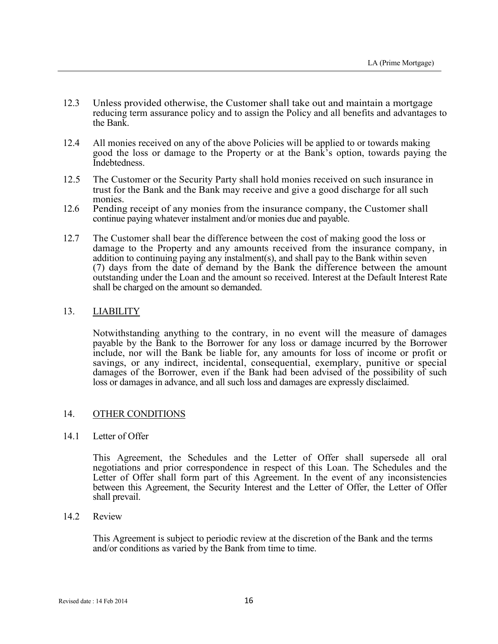- 12.3 Unless provided otherwise, the Customer shall take out and maintain a mortgage reducing term assurance policy and to assign the Policy and all benefits and advantages to the Bank.
- 12.4 All monies received on any of the above Policies will be applied to or towards making good the loss or damage to the Property or at the Bank's option, towards paying the Indebtedness.
- 12.5 The Customer or the Security Party shall hold monies received on such insurance in trust for the Bank and the Bank may receive and give a good discharge for all such monies.
- 12.6 Pending receipt of any monies from the insurance company, the Customer shall continue paying whatever instalment and/or monies due and payable.
- 12.7 The Customer shall bear the difference between the cost of making good the loss or damage to the Property and any amounts received from the insurance company, in addition to continuing paying any instalment(s), and shall pay to the Bank within seven (7) days from the date of demand by the Bank the difference between the amount outstanding under the Loan and the amount so received. Interest at the Default Interest Rate shall be charged on the amount so demanded.

### 13. LIABILITY

Notwithstanding anything to the contrary, in no event will the measure of damages payable by the Bank to the Borrower for any loss or damage incurred by the Borrower include, nor will the Bank be liable for, any amounts for loss of income or profit or savings, or any indirect, incidental, consequential, exemplary, punitive or special damages of the Borrower, even if the Bank had been advised of the possibility of such loss or damages in advance, and all such loss and damages are expressly disclaimed.

### 14. OTHER CONDITIONS

### 14.1 Letter of Offer

This Agreement, the Schedules and the Letter of Offer shall supersede all oral negotiations and prior correspondence in respect of this Loan. The Schedules and the Letter of Offer shall form part of this Agreement. In the event of any inconsistencies between this Agreement, the Security Interest and the Letter of Offer, the Letter of Offer shall prevail.

### 14.2 Review

This Agreement is subject to periodic review at the discretion of the Bank and the terms and/or conditions as varied by the Bank from time to time.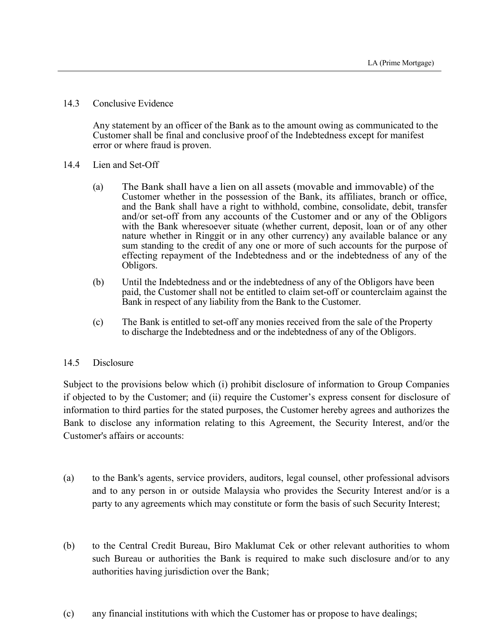#### 14.3 Conclusive Evidence

Any statement by an officer of the Bank as to the amount owing as communicated to the Customer shall be final and conclusive proof of the Indebtedness except for manifest error or where fraud is proven.

- 14.4 Lien and Set-Off
	- (a) The Bank shall have a lien on all assets (movable and immovable) of the Customer whether in the possession of the Bank, its affiliates, branch or office, and the Bank shall have a right to withhold, combine, consolidate, debit, transfer and/or set-off from any accounts of the Customer and or any of the Obligors with the Bank wheresoever situate (whether current, deposit, loan or of any other nature whether in Ringgit or in any other currency) any available balance or any sum standing to the credit of any one or more of such accounts for the purpose of effecting repayment of the Indebtedness and or the indebtedness of any of the Obligors.
	- (b) Until the Indebtedness and or the indebtedness of any of the Obligors have been paid, the Customer shall not be entitled to claim set-off or counterclaim against the Bank in respect of any liability from the Bank to the Customer.
	- (c) The Bank is entitled to set-off any monies received from the sale of the Property to discharge the Indebtedness and or the indebtedness of any of the Obligors.

### 14.5 Disclosure

Subject to the provisions below which (i) prohibit disclosure of information to Group Companies if objected to by the Customer; and (ii) require the Customer's express consent for disclosure of information to third parties for the stated purposes, the Customer hereby agrees and authorizes the Bank to disclose any information relating to this Agreement, the Security Interest, and/or the Customer's affairs or accounts:

- (a) to the Bank's agents, service providers, auditors, legal counsel, other professional advisors and to any person in or outside Malaysia who provides the Security Interest and/or is a party to any agreements which may constitute or form the basis of such Security Interest;
- (b) to the Central Credit Bureau, Biro Maklumat Cek or other relevant authorities to whom such Bureau or authorities the Bank is required to make such disclosure and/or to any authorities having jurisdiction over the Bank;
- (c) any financial institutions with which the Customer has or propose to have dealings;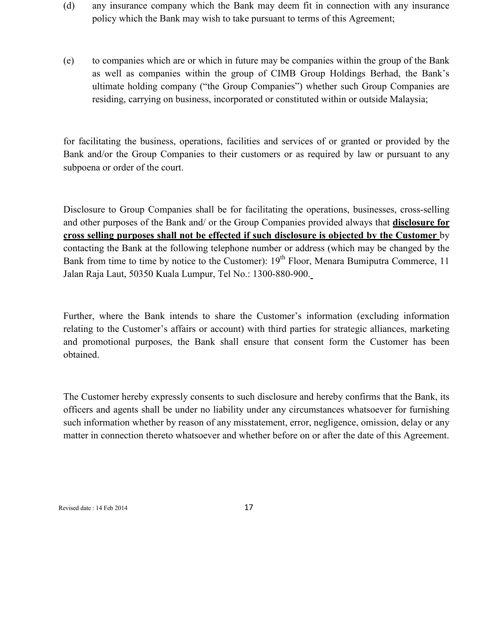- (d) any insurance company which the Bank may deem fit in connection with any insurance policy which the Bank may wish to take pursuant to terms of this Agreement;
- (e) to companies which are or which in future may be companies within the group of the Bank as well as companies within the group of CIMB Group Holdings Berhad, the Bank's ultimate holding company ("the Group Companies") whether such Group Companies are residing, carrying on business, incorporated or constituted within or outside Malaysia;

 for facilitating the business, operations, facilities and services of or granted or provided by the Bank and/or the Group Companies to their customers or as required by law or pursuant to any subpoena or order of the court.

Disclosure to Group Companies shall be for facilitating the operations, businesses, cross-selling and other purposes of the Bank and/ or the Group Companies provided always that **disclosure for cross selling purposes shall not be effected if such disclosure is objected by the Customer** by contacting the Bank at the following telephone number or address (which may be changed by the Bank from time to time by notice to the Customer): 19<sup>th</sup> Floor, Menara Bumiputra Commerce, 11 Jalan Raja Laut, 50350 Kuala Lumpur, Tel No.: 1300-880-900.

Further, where the Bank intends to share the Customer's information (excluding information relating to the Customer's affairs or account) with third parties for strategic alliances, marketing and promotional purposes, the Bank shall ensure that consent form the Customer has been obtained.

The Customer hereby expressly consents to such disclosure and hereby confirms that the Bank, its officers and agents shall be under no liability under any circumstances whatsoever for furnishing such information whether by reason of any misstatement, error, negligence, omission, delay or any matter in connection thereto whatsoever and whether before on or after the date of this Agreement.

Revised date : 14 Feb 2014 17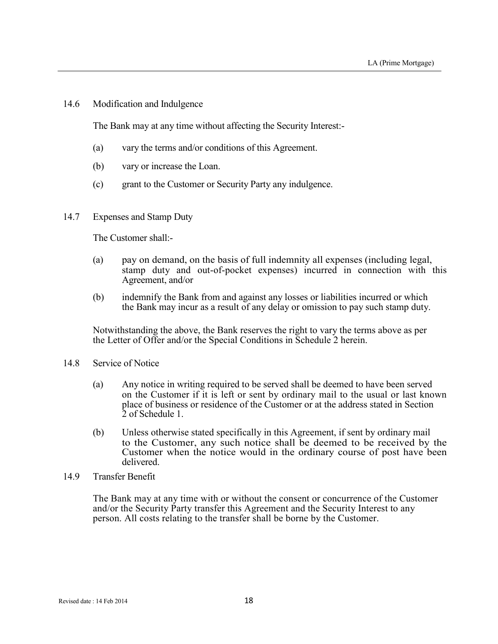14.6 Modification and Indulgence

The Bank may at any time without affecting the Security Interest:-

- (a) vary the terms and/or conditions of this Agreement.
- (b) vary or increase the Loan.
- (c) grant to the Customer or Security Party any indulgence.
- 14.7 Expenses and Stamp Duty

The Customer shall:-

- (a) pay on demand, on the basis of full indemnity all expenses (including legal, stamp duty and out-of-pocket expenses) incurred in connection with this Agreement, and/or
- (b) indemnify the Bank from and against any losses or liabilities incurred or which the Bank may incur as a result of any delay or omission to pay such stamp duty.

Notwithstanding the above, the Bank reserves the right to vary the terms above as per the Letter of Offer and/or the Special Conditions in Schedule 2 herein.

- 14.8 Service of Notice
	- (a) Any notice in writing required to be served shall be deemed to have been served on the Customer if it is left or sent by ordinary mail to the usual or last known place of business or residence of the Customer or at the address stated in Section 2 of Schedule 1.
	- (b) Unless otherwise stated specifically in this Agreement, if sent by ordinary mail to the Customer, any such notice shall be deemed to be received by the Customer when the notice would in the ordinary course of post have been delivered.
- 14.9 Transfer Benefit

The Bank may at any time with or without the consent or concurrence of the Customer and/or the Security Party transfer this Agreement and the Security Interest to any person. All costs relating to the transfer shall be borne by the Customer.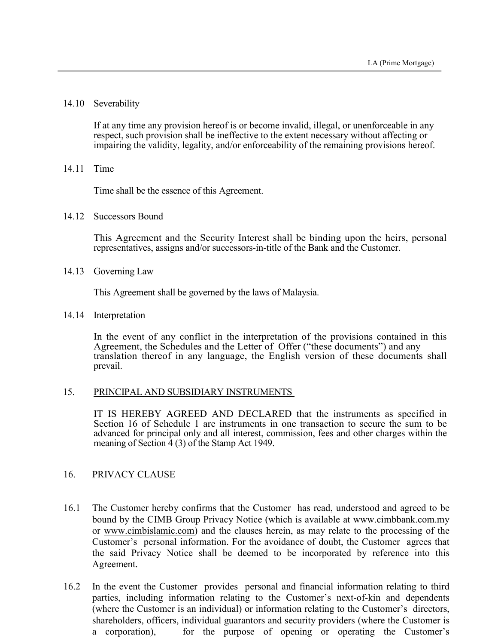#### 14.10 Severability

If at any time any provision hereof is or become invalid, illegal, or unenforceable in any respect, such provision shall be ineffective to the extent necessary without affecting or impairing the validity, legality, and/or enforceability of the remaining provisions hereof.

#### 14.11 Time

Time shall be the essence of this Agreement.

14.12 Successors Bound

This Agreement and the Security Interest shall be binding upon the heirs, personal representatives, assigns and/or successors-in-title of the Bank and the Customer.

14.13 Governing Law

This Agreement shall be governed by the laws of Malaysia.

14.14 Interpretation

In the event of any conflict in the interpretation of the provisions contained in this Agreement, the Schedules and the Letter of Offer ("these documents") and any translation thereof in any language, the English version of these documents shall prevail.

### 15. PRINCIPAL AND SUBSIDIARY INSTRUMENTS

IT IS HEREBY AGREED AND DECLARED that the instruments as specified in Section 16 of Schedule 1 are instruments in one transaction to secure the sum to be advanced for principal only and all interest, commission, fees and other charges within the meaning of Section  $\overline{4}$  (3) of the Stamp Act 1949.

### 16. PRIVACY CLAUSE

- 16.1 The Customer hereby confirms that the Customer has read, understood and agreed to be bound by the CIMB Group Privacy Notice (which is available at www.cimbbank.com.my or www.cimbislamic.com) and the clauses herein, as may relate to the processing of the Customer's personal information. For the avoidance of doubt, the Customer agrees that the said Privacy Notice shall be deemed to be incorporated by reference into this Agreement.
- 16.2 In the event the Customer provides personal and financial information relating to third parties, including information relating to the Customer's next-of-kin and dependents (where the Customer is an individual) or information relating to the Customer's directors, shareholders, officers, individual guarantors and security providers (where the Customer is a corporation), for the purpose of opening or operating the Customer's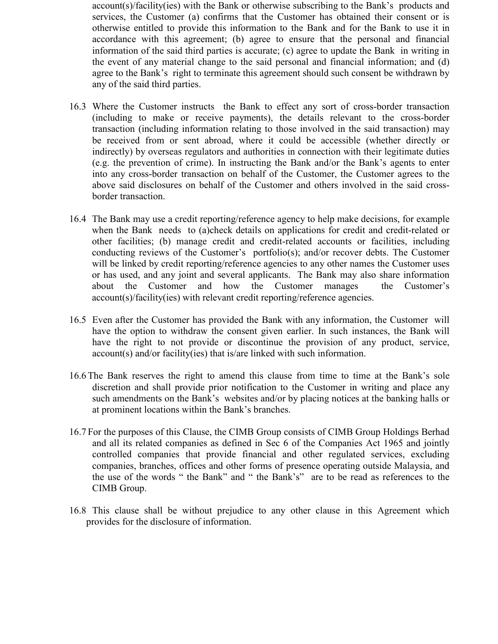account(s)/facility(ies) with the Bank or otherwise subscribing to the Bank's products and services, the Customer (a) confirms that the Customer has obtained their consent or is otherwise entitled to provide this information to the Bank and for the Bank to use it in accordance with this agreement; (b) agree to ensure that the personal and financial information of the said third parties is accurate; (c) agree to update the Bank in writing in the event of any material change to the said personal and financial information; and (d) agree to the Bank's right to terminate this agreement should such consent be withdrawn by any of the said third parties.

- 16.3 Where the Customer instructs the Bank to effect any sort of cross-border transaction (including to make or receive payments), the details relevant to the cross-border transaction (including information relating to those involved in the said transaction) may be received from or sent abroad, where it could be accessible (whether directly or indirectly) by overseas regulators and authorities in connection with their legitimate duties (e.g. the prevention of crime). In instructing the Bank and/or the Bank's agents to enter into any cross-border transaction on behalf of the Customer, the Customer agrees to the above said disclosures on behalf of the Customer and others involved in the said crossborder transaction.
- 16.4 The Bank may use a credit reporting/reference agency to help make decisions, for example when the Bank needs to (a)check details on applications for credit and credit-related or other facilities; (b) manage credit and credit-related accounts or facilities, including conducting reviews of the Customer's portfolio(s); and/or recover debts. The Customer will be linked by credit reporting/reference agencies to any other names the Customer uses or has used, and any joint and several applicants. The Bank may also share information about the Customer and how the Customer manages the Customer's account(s)/facility(ies) with relevant credit reporting/reference agencies.
- 16.5 Even after the Customer has provided the Bank with any information, the Customer will have the option to withdraw the consent given earlier. In such instances, the Bank will have the right to not provide or discontinue the provision of any product, service, account(s) and/or facility(ies) that is/are linked with such information.
- 16.6 The Bank reserves the right to amend this clause from time to time at the Bank's sole discretion and shall provide prior notification to the Customer in writing and place any such amendments on the Bank's websites and/or by placing notices at the banking halls or at prominent locations within the Bank's branches.
- 16.7 For the purposes of this Clause, the CIMB Group consists of CIMB Group Holdings Berhad and all its related companies as defined in Sec 6 of the Companies Act 1965 and jointly controlled companies that provide financial and other regulated services, excluding companies, branches, offices and other forms of presence operating outside Malaysia, and the use of the words " the Bank" and " the Bank's" are to be read as references to the CIMB Group.
- 16.8 This clause shall be without prejudice to any other clause in this Agreement which provides for the disclosure of information.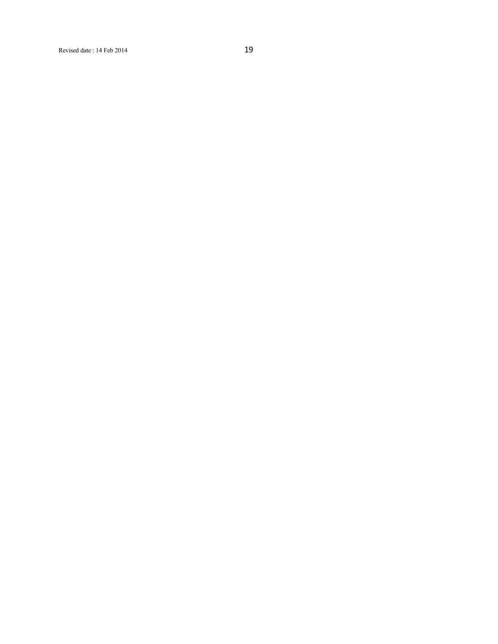Revised date : 14 Feb 2014 19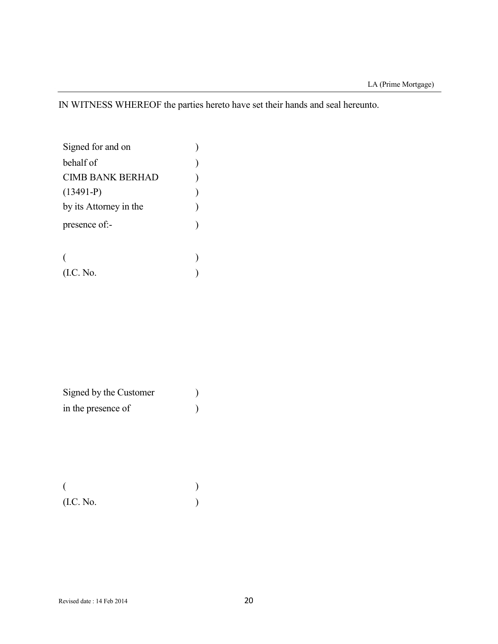IN WITNESS WHEREOF the parties hereto have set their hands and seal hereunto.

| Signed for and on       |  |
|-------------------------|--|
| behalf of               |  |
| <b>CIMB BANK BERHAD</b> |  |
| $(13491-P)$             |  |
| by its Attorney in the  |  |
| presence of:-           |  |
|                         |  |

(I.C. No. )

| Signed by the Customer |  |
|------------------------|--|
| in the presence of     |  |

| $($ I.C. No. |  |
|--------------|--|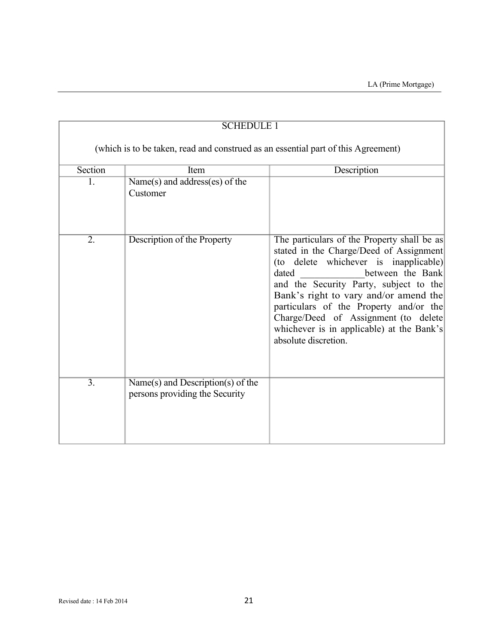| <b>SCHEDULE 1</b>                                                                 |                                                                     |                                                                                                                                                                                                                                                                                                                                                                                                        |  |  |  |
|-----------------------------------------------------------------------------------|---------------------------------------------------------------------|--------------------------------------------------------------------------------------------------------------------------------------------------------------------------------------------------------------------------------------------------------------------------------------------------------------------------------------------------------------------------------------------------------|--|--|--|
| (which is to be taken, read and construed as an essential part of this Agreement) |                                                                     |                                                                                                                                                                                                                                                                                                                                                                                                        |  |  |  |
| Section                                                                           | Item                                                                | Description                                                                                                                                                                                                                                                                                                                                                                                            |  |  |  |
| 1.                                                                                | Name(s) and address(es) of the<br>Customer                          |                                                                                                                                                                                                                                                                                                                                                                                                        |  |  |  |
| $\overline{2}$ .                                                                  | Description of the Property                                         | The particulars of the Property shall be as<br>stated in the Charge/Deed of Assignment<br>(to delete whichever is inapplicable)<br>between the Bank<br>dated<br>and the Security Party, subject to the<br>Bank's right to vary and/or amend the<br>particulars of the Property and/or the<br>Charge/Deed of Assignment (to delete<br>whichever is in applicable) at the Bank's<br>absolute discretion. |  |  |  |
| $\overline{3}$ .                                                                  | Name(s) and Description(s) of the<br>persons providing the Security |                                                                                                                                                                                                                                                                                                                                                                                                        |  |  |  |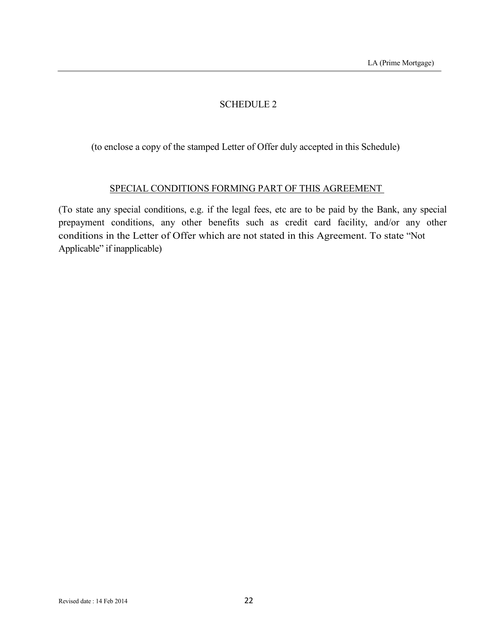## SCHEDULE 2

(to enclose a copy of the stamped Letter of Offer duly accepted in this Schedule)

### SPECIAL CONDITIONS FORMING PART OF THIS AGREEMENT

(To state any special conditions, e.g. if the legal fees, etc are to be paid by the Bank, any special prepayment conditions, any other benefits such as credit card facility, and/or any other conditions in the Letter of Offer which are not stated in this Agreement. To state "Not Applicable" if inapplicable)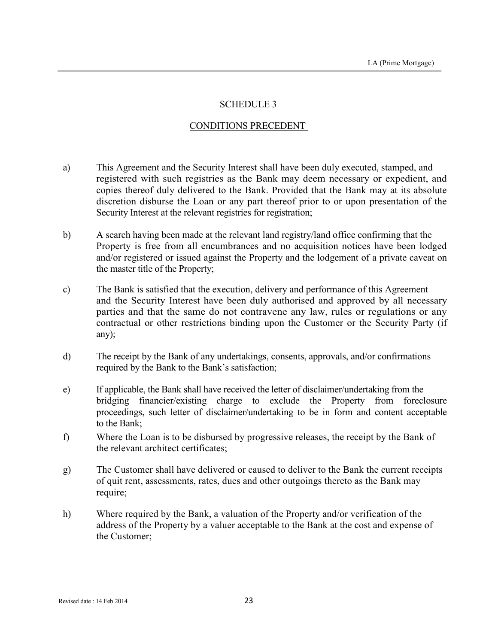### SCHEDULE 3

### CONDITIONS PRECEDENT

- a) This Agreement and the Security Interest shall have been duly executed, stamped, and registered with such registries as the Bank may deem necessary or expedient, and copies thereof duly delivered to the Bank. Provided that the Bank may at its absolute discretion disburse the Loan or any part thereof prior to or upon presentation of the Security Interest at the relevant registries for registration;
- b) A search having been made at the relevant land registry/land office confirming that the Property is free from all encumbrances and no acquisition notices have been lodged and/or registered or issued against the Property and the lodgement of a private caveat on the master title of the Property;
- c) The Bank is satisfied that the execution, delivery and performance of this Agreement and the Security Interest have been duly authorised and approved by all necessary parties and that the same do not contravene any law, rules or regulations or any contractual or other restrictions binding upon the Customer or the Security Party (if any);
- d) The receipt by the Bank of any undertakings, consents, approvals, and/or confirmations required by the Bank to the Bank's satisfaction;
- e) If applicable, the Bank shall have received the letter of disclaimer/undertaking from the bridging financier/existing charge to exclude the Property from foreclosure proceedings, such letter of disclaimer/undertaking to be in form and content acceptable to the Bank;
- f) Where the Loan is to be disbursed by progressive releases, the receipt by the Bank of the relevant architect certificates;
- g) The Customer shall have delivered or caused to deliver to the Bank the current receipts of quit rent, assessments, rates, dues and other outgoings thereto as the Bank may require;
- h) Where required by the Bank, a valuation of the Property and/or verification of the address of the Property by a valuer acceptable to the Bank at the cost and expense of the Customer;